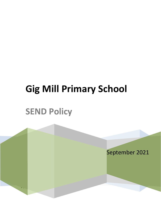# **Gig Mill Primary School**

# **SEND Policy**

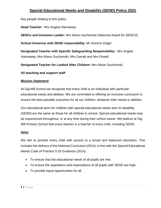### **Special Educational Needs and Disability (SEND) Policy 2021**

Key people relating to this policy:

**Head Teacher:** Mrs Angela Hannaway

**SENCo and Inclusion Leader:** Mrs Alison Suchomski (National Award for SENCO)

**School Governor with SEND responsibility**: Mr Dominic Edgar

**Designated Teacher with Specific Safeguarding Responsibility:** Mrs Angela Hannaway, Mrs Alison Suchomski, Mrs Garratt and Mrs Powell

**Designated Teacher for Looked After Children**: Mrs Alison Suchomski

#### **All teaching and support staff**

#### **Mission Statement**

At Gig Mill School we recognise that every child is an individual with particular educational needs and abilities. We are committed to offering an inclusive curriculum to ensure the best possible outcomes for all our children, whatever their needs or abilities.

Our educational aims for children with special educational needs and /or disability (SEND) are the same as those for all children in school. Special educational needs may be experienced throughout, or at any time during their school career. We believe at Gig Mill Primary School that every teacher is a teacher of every child, including SEND.

#### **Aims**

We aim to provide every child with access to a broad and balanced education. This includes the delivery of the National Curriculum (2014), in line with the Special Educational Needs Code of Practice 0-25 Guidance (2014).

- To ensure that the educational needs of all pupils are met.
- To ensure the aspirations and expectations of all pupils with SEND are high.
- To provide equal opportunities for all.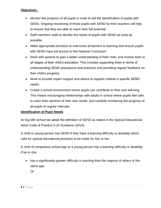#### **Objectives**

- Monitor the progress of all pupils in order to aid the identification of pupils with SEND. Ongoing monitoring of those pupils with SEND by their teachers will help to ensure that they are able to reach their full potential.
- Staff members seek to identify the needs of pupils with SEND as early as possible.
- Make appropriate provision to overcome all barriers to learning and ensure pupils with SEND have full access to the National Curriculum.
- Work with parents to gain a better understanding of their child, and involve them in all stages of their child's education. This includes supporting them in terms of understanding SEND procedures and practices and providing regular feedback on their child's progress.
- Work to provide expert support and advice to support children's specific SEND needs.
- Create a school environment where pupils can contribute to their own learning. This means encouraging relationships with adults in school where pupils feel safe to voice their opinions of their own needs, and carefully monitoring the progress of all pupils at regular intervals.

#### **Identification of Pupil Needs**

At Gig Mill School we adopt the definition of SEND as stated in the Special Educational Need Code of Practice 0-25 Guidance (2014).

A child or young person has SEND if they have a learning difficulty or disability which calls for special educational provision to be made for him or her.

A child of compulsory school age or a young person has a learning difficulty or disability if he or she:

• has a significantly greater difficulty in learning than the majority of others of the same age,

Or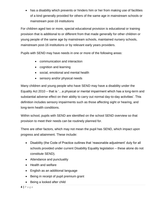• has a disability which prevents or hinders him or her from making use of facilities of a kind generally provided for others of the same age in mainstream schools or mainstream post-16 institutions

For children aged two or more, special educational provision is educational or training provision that is additional to or different from that made generally for other children or young people of the same age by mainstream schools, maintained nursery schools, mainstream post-16 institutions or by relevant early years providers.

Pupils with SEND may have needs in one or more of the following areas:

- communication and interaction
- cognition and learning
- social, emotional and mental health
- sensory and/or physical needs

Many children and young people who have SEND may have a disability under the Equality Act 2010 – that is '…a physical or mental impairment which has a long-term and substantial adverse effect on their ability to carry out normal day-to-day activities'. This definition includes sensory impairments such as those affecting sight or hearing, and long-term health conditions.

Within school, pupils with SEND are identified on the school SEND overview so that provision to meet their needs can be routinely planned for.

There are other factors, which may not mean the pupil has SEND, which impact upon progress and attainment. These include:

- Disability (the Code of Practice outlines that 'reasonable adjustment' duty for all schools provided under current Disability Equality legislation – these alone do not constitute SEND).
- Attendance and punctuality
- Health and welfare
- English as an additional language
- Being in receipt of pupil premium grant
- Being a looked after child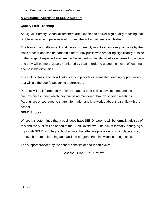• Being a child of serviceman/woman

#### **A Graduated Approach to SEND Support**

#### **Quality First Teaching**

At Gig Mill Primary School all teachers are expected to deliver high quality teaching that is differentiated and personalised to meet the individual needs of children.

The learning and attainment of all pupils is carefully monitored on a regular basis by the class teacher and senior leadership team. Any pupils who are falling significantly outside of the range of expected academic achievement will be identified as a cause for concern and they will be more closely monitored by staff in order to gauge their level of learning and possible difficulties.

The child's class teacher will take steps to provide differentiated learning opportunities that will aid the pupil's academic progression.

Parents will be informed fully of every stage of their child's development and the circumstances under which they are being monitored through ongoing meetings. Parents are encouraged to share information and knowledge about their child with the school.

#### **SEND Support**

Where it is determined that a pupil does have SEND, parents will be formally advised of this and the pupil will be added to the SEND overview. The aim of formally identifying a pupil with SEND is to help school ensure that effective provision is put in place and so remove barriers to learning and facilitate progress from individual starting points.

The support provided by the school consists of a four part cycle:

• Assess • Plan • Do • Review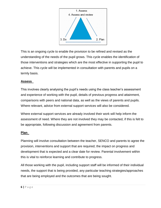

This is an ongoing cycle to enable the provision to be refined and revised as the understanding of the needs of the pupil grows. This cycle enables the identification of those interventions and strategies which are the most effective in supporting the pupil to achieve. This cycle will be implemented in consultation with parents and pupils on a termly basis.

#### **Assess**

This involves clearly analysing the pupil's needs using the class teacher's assessment and experience of working with the pupil, details of previous progress and attainment, comparisons with peers and national data, as well as the views of parents and pupils. Where relevant, advice from external support services will also be considered.

Where external support services are already involved their work will help inform the assessment of need. Where they are not involved they may be contacted, if this is felt to be appropriate, following discussion and agreement from parents.

#### **Plan**

Planning will involve consultation between the teacher, SENCO and parents to agree the provision, interventions and support that are required; the impact on progress and development that is expected and a clear date for review. Parental involvement within this is vital to reinforce learning and contribute to progress.

All those working with the pupil, including support staff will be informed of their individual needs, the support that is being provided, any particular teaching strategies/approaches that are being employed and the outcomes that are being sought.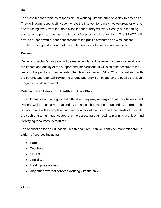The class teacher remains responsible for working with the child on a day-to-day basis. They will retain responsibility even where the interventions may involve group or one-toone teaching away from the main class teacher. They will work closely with teaching assistants to plan and assess the impact of support and interventions. The SENCO will provide support with further assessment of the pupil's strengths and weaknesses, problem solving and advising of the implementation of effective interventions.

#### **Review**

Reviews of a child's progress will be made regularly. The review process will evaluate the impact and quality of the support and interventions. It will also take account of the views of the pupil and their parents. The class teacher and SENCO, in consultation with the parents and pupil will revise the targets and provision based on the pupil's previous progress and development.

#### **Referral for an Education, Health and Care Plan**

If a child has lifelong or significant difficulties they may undergo a Statutory Assessment Process which is usually requested by the school but can be requested by a parent. This will occur where the complexity of need or a lack of clarity around the needs of the child are such that a multi-agency approach to assessing that need, to planning provision and identifying resources, is required.

The application for an Education, Health and Care Plan will combine information from a variety of sources including:

- Parents
- Teachers
- SENCO
- Social Care
- Health professionals
- Any other external services working with the child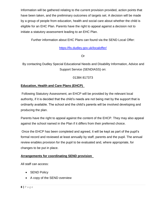Information will be gathered relating to the current provision provided, action points that have been taken, and the preliminary outcomes of targets set. A decision will be made by a group of people from education, health and social care about whether the child is eligible for an EHC Plan. Parents have the right to appeal against a decision not to initiate a statutory assessment leading to an EHC Plan.

Further information about EHC Plans can found via the SEND Local Offer:

#### <https://fis.dudley.gov.uk/localoffer/>

Or

By contacting Dudley Special Educational Needs and Disability Information, Advice and Support Service (SENDIASS) on:

01384 817373

#### **Education, Health and Care Plans (EHCP)**

Following Statutory Assessment, an EHCP will be provided by the relevant local authority, if it is decided that the child's needs are not being met by the support that is ordinarily available. The school and the child's parents will be involved developing and producing the plan.

Parents have the right to appeal against the content of the EHCP. They may also appeal against the school named in the Plan if it differs from their preferred choice.

Once the EHCP has been completed and agreed, it will be kept as part of the pupil's formal record and reviewed at least annually by staff, parents and the pupil. The annual review enables provision for the pupil to be evaluated and, where appropriate, for changes to be put in place.

#### **Arrangements for coordinating SEND provision**

All staff can access:

- **SEND Policy**
- A copy of the SEND overview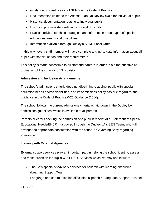- Guidance on identification of SEND in the Code of Practice
- Documentation linked to the Assess-Plan-Do-Review cycle for individual pupils
- Historical documentation relating to individual pupils
- Historical progress data relating to individual pupils
- Practical advice, teaching strategies, and information about types of special educational needs and disabilities
- Information available through Dudley's SEND Local Offer

In this way, every staff member will have complete and up-to-date information about all pupils with special needs and their requirements.

This policy is made accessible to all staff and parents in order to aid the effective coordination of the school's SEN provision.

#### **Admission and Inclusion Arrangements**

The school's admissions criteria does not discriminate against pupils with special education needs and/or disabilities, and its admissions policy has due regard for the guidance in the Code of Practice 0-25 Guidance (2014).

The school follows the current admissions criteria as laid down in the Dudley LA admissions guidelines, which is available to all parents.

Parents or carers seeking the admission of a pupil in receipt of a Statement of Special Educational Needs/EHCP must do so through the Dudley LA's SEN Team, who will arrange the appropriate consultation with the school's Governing Body regarding admission.

#### **Liaising with External Agencies**

External support services play an important part in helping the school identify, assess and make provision for pupils with SEND. Services which we may use include:

- The LA's specialist advisory services for children with learning difficulties (Learning Support Team)
- Language and communication difficulties (Speech & Language Support Service)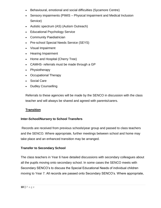- Behavioural, emotional and social difficulties (Sycamore Centre)
- Sensory impairments (PIMIS Physical Impairment and Medical Inclusion Service)
- Autistic spectrum (AS) (Autism Outreach)
- Educational Psychology Service
- Community Paediatrician
- Pre-school Special Needs Service (SEYS)
- Visual Impairment
- Hearing Impairment
- Home and Hospital (Cherry Tree)
- CAMHS- referrals must be made through a GP
- Physiotherapy
- Occupational Therapy
- Social Care
- Dudley Counselling

Referrals to these agencies will be made by the SENCO in discussion with the class teacher and will always be shared and agreed with parents/carers.

#### **Transition**

#### **Inter-School/Nursery to School Transfers**

Records are received from previous schools/year group and passed to class teachers and the SENCO. Where appropriate, further meetings between school and home may take place and an enhanced transition may be arranged.

#### **Transfer to Secondary School**

The class teachers in Year 6 have detailed discussions with secondary colleagues about all the pupils moving onto secondary school. In some cases the SENCO meets with Secondary SENCO's to discuss the Special Educational Needs of individual children moving to Year 7. All records are passed onto Secondary SENCO's. Where appropriate,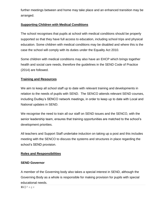further meetings between and home may take place and an enhanced transition may be arranged.

#### **Supporting Children with Medical Conditions**

The school recognises that pupils at school with medical conditions should be properly supported so that they have full access to education, including school trips and physical education. Some children with medical conditions may be disabled and where this is the case the school will comply with its duties under the Equality Act 2010.

Some children with medical conditions may also have an EHCP which brings together health and social care needs, therefore the guidelines in the SEND Code of Practice (2014) are followed.

#### **Training and Resources**

We aim to keep all school staff up to date with relevant training and developments in relation to the needs of pupils with SEND. The SENCO attends relevant SEND courses, including Dudley's SENCO network meetings, in order to keep up to date with Local and National updates in SEND.

We recognise the need to train all our staff on SEND issues and the SENCO, with the senior leadership team, ensures that training opportunities are matched to the school's development priorities.

All teachers and Support Staff undertake induction on taking up a post and this includes meeting with the SENCO to discuss the systems and structures in place regarding the school's SEND provision.

#### **Roles and Responsibilities**

#### **SEND Governor**

A member of the Governing body also takes a special interest in SEND, although the Governing Body as a whole is responsible for making provision for pupils with special educational needs.

**11 |** P a g e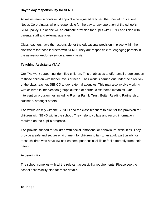#### **Day to day responsibility for SEND**

All mainstream schools must appoint a designated teacher; the Special Educational Needs Co-ordinator, who is responsible for the day-to-day operation of the school's SEND policy. He or she will co-ordinate provision for pupils with SEND and liaise with parents, staff and external agencies.

Class teachers have the responsible for the educational provision in place within the classroom for those learners with SEND. They are responsible for engaging parents in the assess-plan-do-review on a termly basis.

#### **Teaching Assistants (TAs)**

Our TAs work supporting identified children. This enables us to offer small group support to those children with higher levels of need. Their work is carried out under the direction of the class teacher, SENCO and/or external agencies. This may also involve working with children in intervention groups outside of normal classroom timetables. Our intervention programmes including Fischer Family Trust, Better Reading Partnership, Nucmion, amongst others.

TAs works closely with the SENCO and the class teachers to plan for the provision for children with SEND within the school. They help to collate and record information required on the pupil's progress.

TAs provide support for children with social, emotional or behavioural difficulties. They provide a safe and secure environment for children to talk to an adult, particularly for those children who have low self-esteem, poor social skills or feel differently from their peers.

#### **Accessibility**

The school complies with all the relevant accessibility requirements. Please see the school accessibility plan for more details.